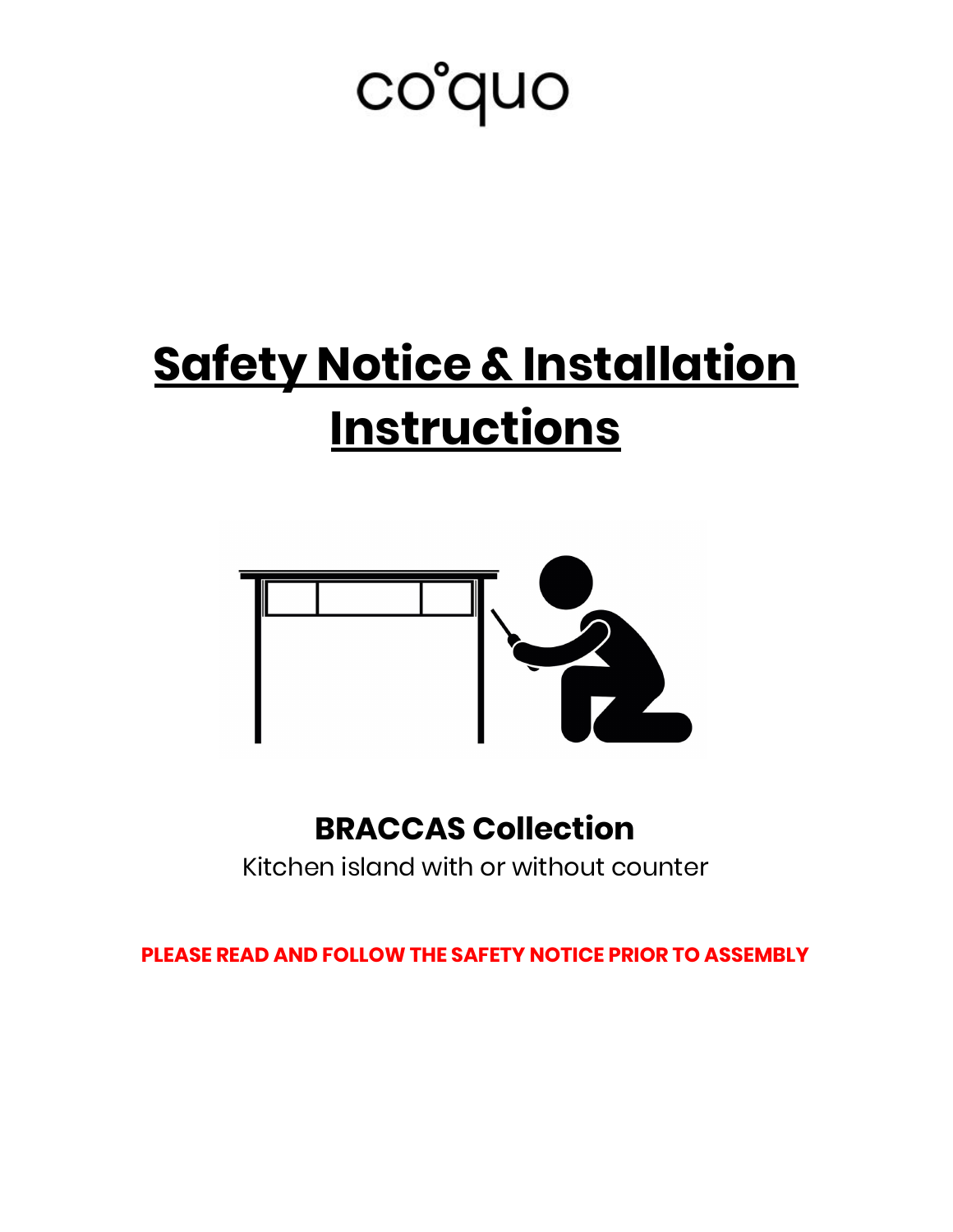# co'quo

# **Safety Notice & Installation Instructions**



## **BRACCAS Collection**

Kitchen island with or without counter

**PLEASE READ AND FOLLOW THE SAFETY NOTICE PRIOR TO ASSEMBLY**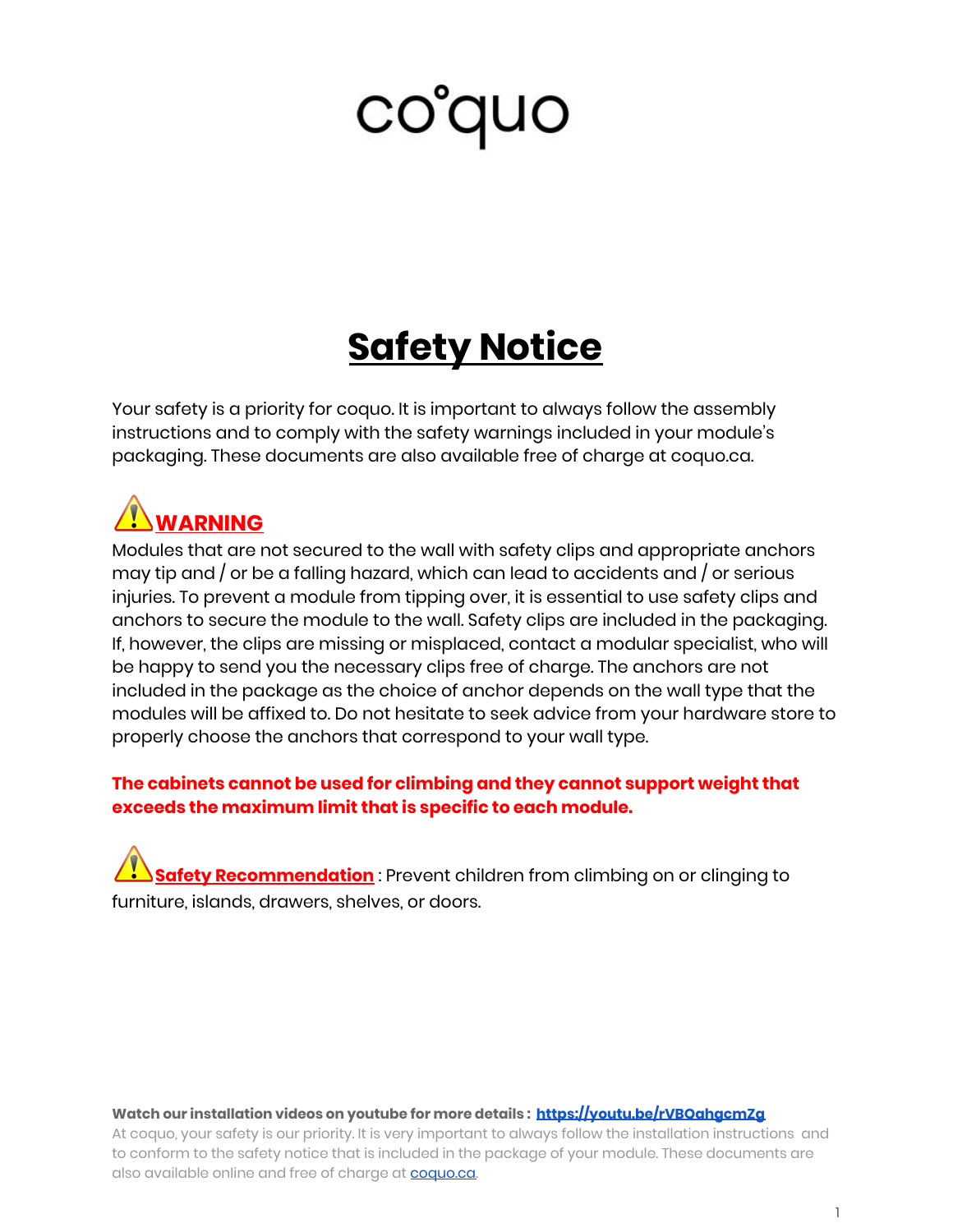# **Safety Notice**

Your safety is a priority for coquo. It is important to always follow the assembly instructions and to comply with the safety warnings included in your module's packaging. These documents are also available free of charge at coquo.ca.

## **WARNING**

Modules that are not secured to the wall with safety clips and appropriate anchors may tip and / or be a falling hazard, which can lead to accidents and / or serious injuries. To prevent a module from tipping over, it is essential to use safety clips and anchors to secure the module to the wall. Safety clips are included in the packaging. If, however, the clips are missing or misplaced, contact a modular specialist, who will be happy to send you the necessary clips free of charge. The anchors are not included in the package as the choice of anchor depends on the wall type that the modules will be affixed to. Do not hesitate to seek advice from your hardware store to properly choose the anchors that correspond to your wall type.

#### **The cabinets cannot be used for climbing and they cannot support weight that exceeds the maximum limit that is specific to each module.**

**Safety Recommendation** : Prevent children from climbing on or clinging to furniture, islands, drawers, shelves, or doors.

#### **Watch our installation videos on youtube for more details : <https://youtu.be/rVBQahgcmZg>**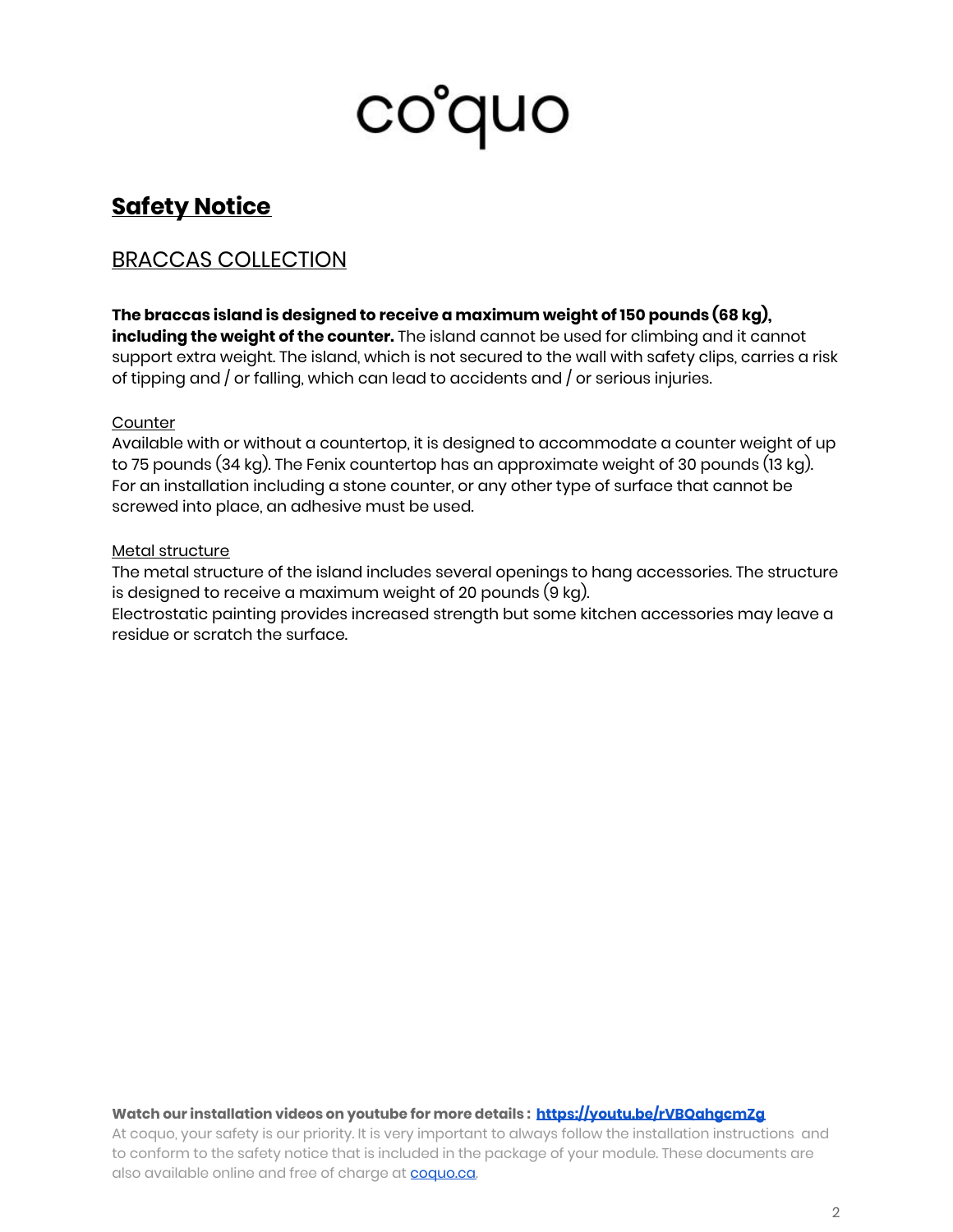## **Safety Notice**

### BRACCAS COLLECTION

**The braccas island is designed to receive a maximum weight of 150 pounds (68 kg), including the weight of the counter.** The island cannot be used for climbing and it cannot support extra weight. The island, which is not secured to the wall with safety clips, carries a risk of tipping and / or falling, which can lead to accidents and / or serious injuries.

#### **Counter**

Available with or without a countertop, it is designed to accommodate a counter weight of up to 75 pounds (34 kg). The Fenix countertop has an approximate weight of 30 pounds (13 kg). For an installation including a stone counter, or any other type of surface that cannot be screwed into place, an adhesive must be used.

#### Metal structure

The metal structure of the island includes several openings to hang accessories. The structure is designed to receive a maximum weight of 20 pounds (9 kg).

Electrostatic painting provides increased strength but some kitchen accessories may leave a residue or scratch the surface.

#### **Watch our installation videos on youtube for more details : <https://youtu.be/rVBQahgcmZg>**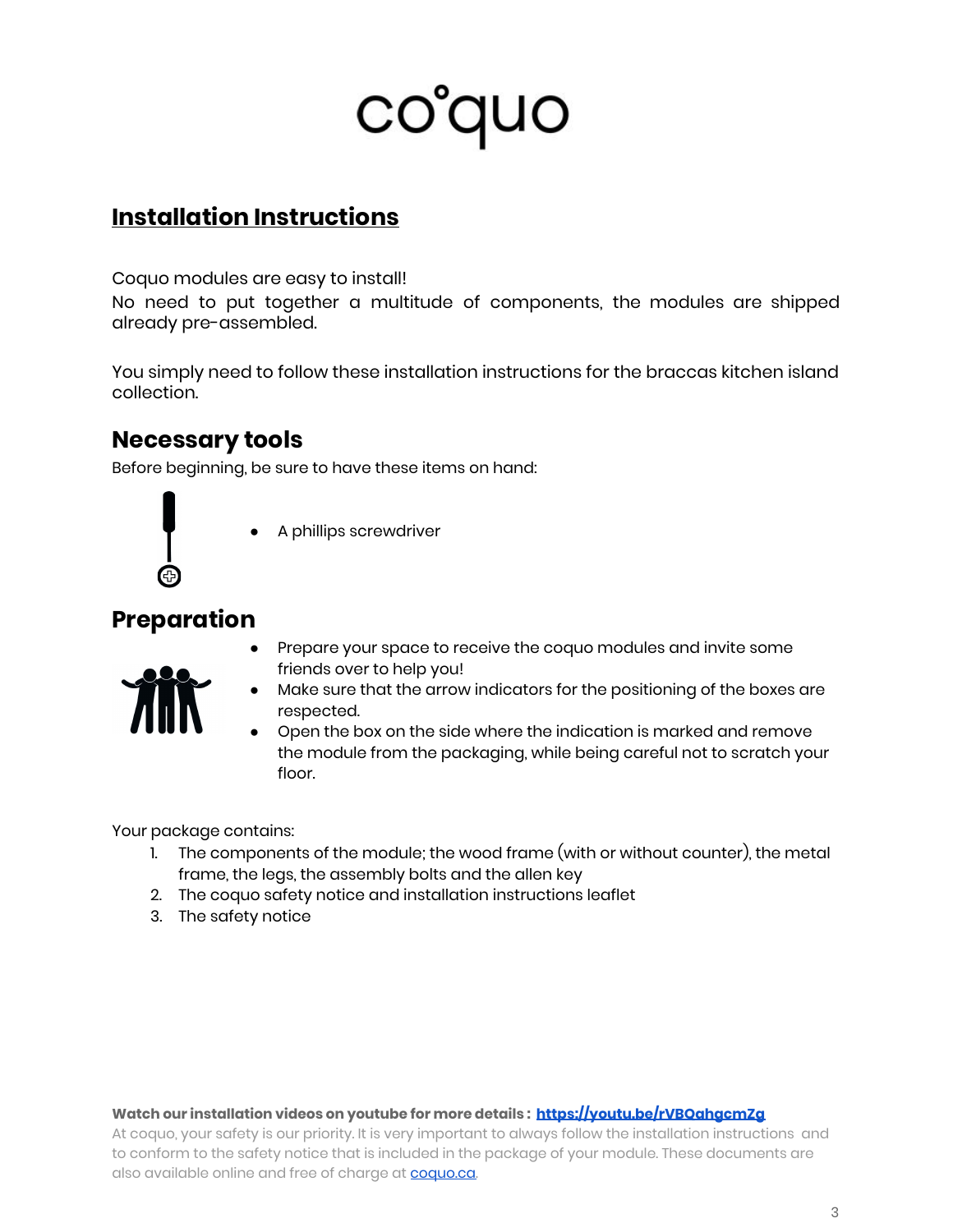### **Installation Instructions**

Coquo modules are easy to install!

No need to put together a multitude of components, the modules are shipped already pre-assembled.

You simply need to follow these installation instructions for the braccas kitchen island collection.

### **Necessary tools**

Before beginning, be sure to have these items on hand:



A phillips screwdriver

### **Preparation**

Prepare your space to receive the coquo modules and invite some friends over to help you!



- Make sure that the arrow indicators for the positioning of the boxes are respected.
- Open the box on the side where the indication is marked and remove the module from the packaging, while being careful not to scratch your floor.

Your package contains:

- 1. The components of the module; the wood frame (with or without counter), the metal frame, the legs, the assembly bolts and the allen key
- 2. The coquo safety notice and installation instructions leaflet
- 3. The safety notice

#### **Watch our installation videos on youtube for more details : <https://youtu.be/rVBQahgcmZg>**